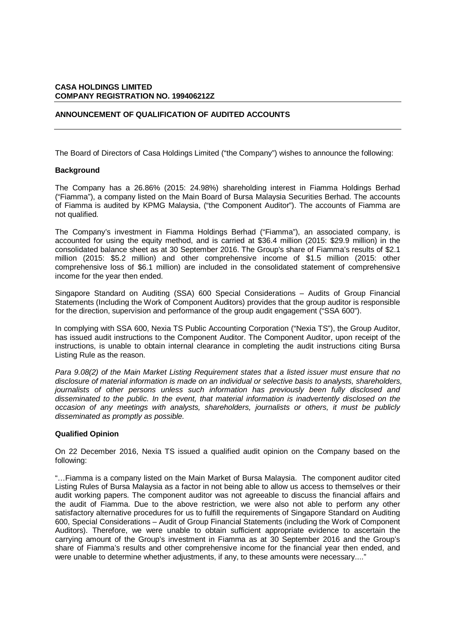## **ANNOUNCEMENT OF QUALIFICATION OF AUDITED ACCOUNTS**

The Board of Directors of Casa Holdings Limited ("the Company") wishes to announce the following:

## **Background**

The Company has a 26.86% (2015: 24.98%) shareholding interest in Fiamma Holdings Berhad ("Fiamma"), a company listed on the Main Board of Bursa Malaysia Securities Berhad. The accounts of Fiamma is audited by KPMG Malaysia, ("the Component Auditor"). The accounts of Fiamma are not qualified.

The Company's investment in Fiamma Holdings Berhad ("Fiamma"), an associated company, is accounted for using the equity method, and is carried at \$36.4 million (2015: \$29.9 million) in the consolidated balance sheet as at 30 September 2016. The Group's share of Fiamma's results of \$2.1 million (2015: \$5.2 million) and other comprehensive income of \$1.5 million (2015: other comprehensive loss of \$6.1 million) are included in the consolidated statement of comprehensive income for the year then ended.

Singapore Standard on Auditing (SSA) 600 Special Considerations – Audits of Group Financial Statements (Including the Work of Component Auditors) provides that the group auditor is responsible for the direction, supervision and performance of the group audit engagement ("SSA 600").

In complying with SSA 600, Nexia TS Public Accounting Corporation ("Nexia TS"), the Group Auditor, has issued audit instructions to the Component Auditor. The Component Auditor, upon receipt of the instructions, is unable to obtain internal clearance in completing the audit instructions citing Bursa Listing Rule as the reason.

*Para 9.08(2) of the Main Market Listing Requirement states that a listed issuer must ensure that no disclosure of material information is made on an individual or selective basis to analysts, shareholders, journalists of other persons unless such information has previously been fully disclosed and disseminated to the public. In the event, that material information is inadvertently disclosed on the occasion of any meetings with analysts, shareholders, journalists or others, it must be publicly disseminated as promptly as possible.* 

## **Qualified Opinion**

On 22 December 2016, Nexia TS issued a qualified audit opinion on the Company based on the following:

"…Fiamma is a company listed on the Main Market of Bursa Malaysia. The component auditor cited Listing Rules of Bursa Malaysia as a factor in not being able to allow us access to themselves or their audit working papers. The component auditor was not agreeable to discuss the financial affairs and the audit of Fiamma. Due to the above restriction, we were also not able to perform any other satisfactory alternative procedures for us to fulfill the requirements of Singapore Standard on Auditing 600, Special Considerations – Audit of Group Financial Statements (including the Work of Component Auditors). Therefore, we were unable to obtain sufficient appropriate evidence to ascertain the carrying amount of the Group's investment in Fiamma as at 30 September 2016 and the Group's share of Fiamma's results and other comprehensive income for the financial year then ended, and were unable to determine whether adjustments, if any, to these amounts were necessary...."